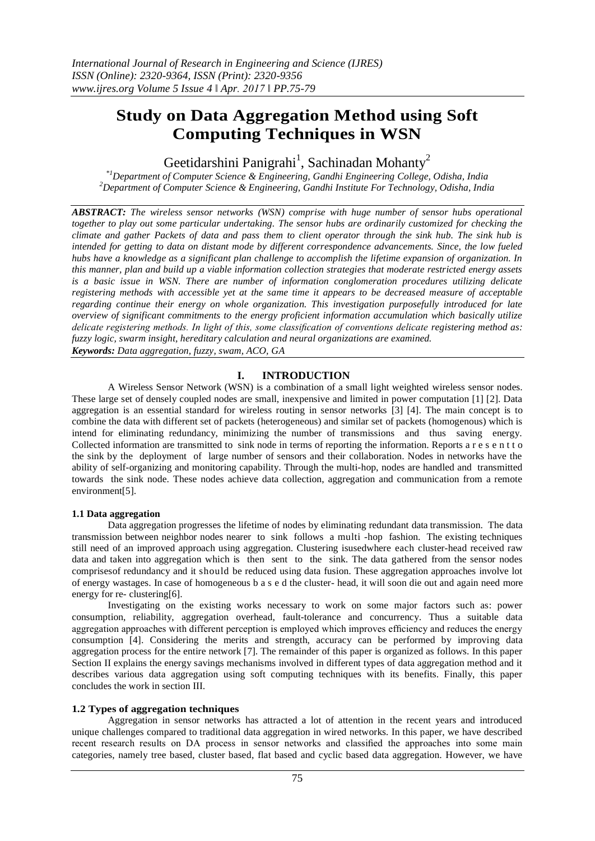# **Study on Data Aggregation Method using Soft Computing Techniques in WSN**

Geetidarshini Panigrahi<sup>1</sup>, Sachinadan Mohanty<sup>2</sup>

*\*1Department of Computer Science & Engineering, Gandhi Engineering College, Odisha, India <sup>2</sup>Department of Computer Science & Engineering, Gandhi Institute For Technology, Odisha, India*

*ABSTRACT: The wireless sensor networks (WSN) comprise with huge number of sensor hubs operational together to play out some particular undertaking. The sensor hubs are ordinarily customized for checking the climate and gather Packets of data and pass them to client operator through the sink hub. The sink hub is intended for getting to data on distant mode by different correspondence advancements. Since, the low fueled hubs have a knowledge as a significant plan challenge to accomplish the lifetime expansion of organization. In this manner, plan and build up a viable information collection strategies that moderate restricted energy assets is a basic issue in WSN. There are number of information conglomeration procedures utilizing delicate registering methods with accessible yet at the same time it appears to be decreased measure of acceptable regarding continue their energy on whole organization. This investigation purposefully introduced for late overview of significant commitments to the energy proficient information accumulation which basically utilize delicate registering methods. In light of this, some classification of conventions delicate registering method as: fuzzy logic, swarm insight, hereditary calculation and neural organizations are examined. Keywords: Data aggregation, fuzzy, swam, ACO, GA*

## **I. INTRODUCTION**

A Wireless Sensor Network (WSN) is a combination of a small light weighted wireless sensor nodes. These large set of densely coupled nodes are small, inexpensive and limited in power computation [1] [2]. Data aggregation is an essential standard for wireless routing in sensor networks [3] [4]. The main concept is to combine the data with different set of packets (heterogeneous) and similar set of packets (homogenous) which is intend for eliminating redundancy, minimizing the number of transmissions and thus saving energy. Collected information are transmitted to sink node in terms of reporting the information. Reports a r e s e n t t o the sink by the deployment of large number of sensors and their collaboration. Nodes in networks have the ability of self-organizing and monitoring capability. Through the multi-hop, nodes are handled and transmitted towards the sink node. These nodes achieve data collection, aggregation and communication from a remote environment[5].

## **1.1 Data aggregation**

Data aggregation progresses the lifetime of nodes by eliminating redundant data transmission. The data transmission between neighbor nodes nearer to sink follows a multi -hop fashion. The existing techniques still need of an improved approach using aggregation. Clustering isusedwhere each cluster-head received raw data and taken into aggregation which is then sent to the sink. The data gathered from the sensor nodes comprisesof redundancy and it should be reduced using data fusion. These aggregation approaches involve lot of energy wastages. In case of homogeneous b a s e d the cluster- head, it will soon die out and again need more energy for re- clustering[6].

Investigating on the existing works necessary to work on some major factors such as: power consumption, reliability, aggregation overhead, fault-tolerance and concurrency. Thus a suitable data aggregation approaches with different perception is employed which improves efficiency and reduces the energy consumption [4]. Considering the merits and strength, accuracy can be performed by improving data aggregation process for the entire network [7]. The remainder of this paper is organized as follows. In this paper Section II explains the energy savings mechanisms involved in different types of data aggregation method and it describes various data aggregation using soft computing techniques with its benefits. Finally, this paper concludes the work in section III.

## **1.2 Types of aggregation techniques**

Aggregation in sensor networks has attracted a lot of attention in the recent years and introduced unique challenges compared to traditional data aggregation in wired networks. In this paper, we have described recent research results on DA process in sensor networks and classified the approaches into some main categories, namely tree based, cluster based, flat based and cyclic based data aggregation. However, we have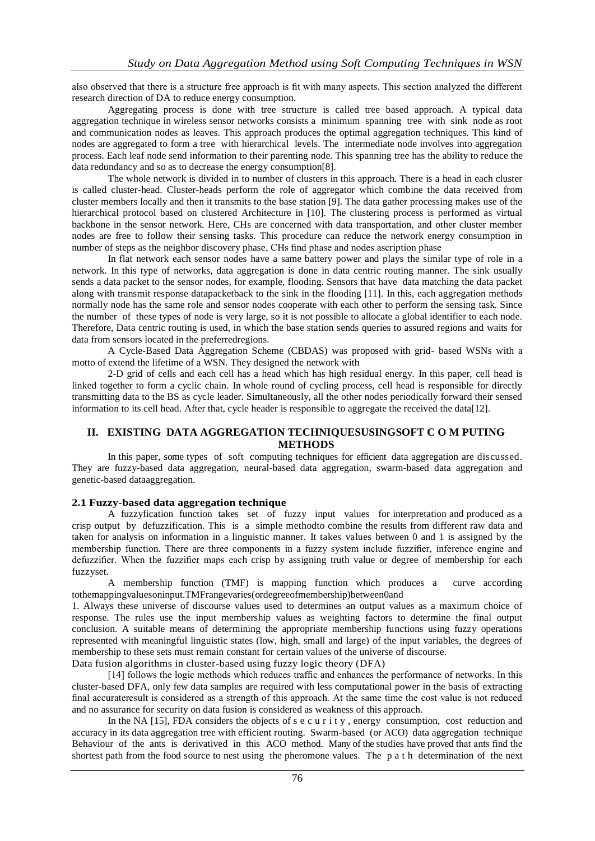also observed that there is a structure free approach is fit with many aspects. This section analyzed the different research direction of DA to reduce energy consumption.

Aggregating process is done with tree structure is called tree based approach. A typical data aggregation technique in wireless sensor networks consists a minimum spanning tree with sink node as root and communication nodes as leaves. This approach produces the optimal aggregation techniques. This kind of nodes are aggregated to form a tree with hierarchical levels. The intermediate node involves into aggregation process. Each leaf node send information to their parenting node. This spanning tree has the ability to reduce the data redundancy and so as to decrease the energy consumption[8].

The whole network is divided in to number of clusters in this approach. There is a head in each cluster is called cluster-head. Cluster-heads perform the role of aggregator which combine the data received from cluster members locally and then it transmits to the base station [9]. The data gather processing makes use of the hierarchical protocol based on clustered Architecture in [10]. The clustering process is performed as virtual backbone in the sensor network. Here, CHs are concerned with data transportation, and other cluster member nodes are free to follow their sensing tasks. This procedure can reduce the network energy consumption in number of steps as the neighbor discovery phase, CHs find phase and nodes ascription phase

In flat network each sensor nodes have a same battery power and plays the similar type of role in a network. In this type of networks, data aggregation is done in data centric routing manner. The sink usually sends a data packet to the sensor nodes, for example, flooding. Sensors that have data matching the data packet along with transmit response datapacketback to the sink in the flooding [11]. In this, each aggregation methods normally node has the same role and sensor nodes cooperate with each other to perform the sensing task. Since the number of these types of node is very large, so it is not possible to allocate a global identifier to each node. Therefore, Data centric routing is used, in which the base station sends queries to assured regions and waits for data from sensors located in the preferredregions.

A Cycle-Based Data Aggregation Scheme (CBDAS) was proposed with grid- based WSNs with a motto of extend the lifetime of a WSN. They designed the network with

2-D grid of cells and each cell has a head which has high residual energy. In this paper, cell head is linked together to form a cyclic chain. In whole round of cycling process, cell head is responsible for directly transmitting data to the BS as cycle leader. Simultaneously, all the other nodes periodically forward their sensed information to its cell head. After that, cycle header is responsible to aggregate the received the data[12].

## **II. EXISTING DATA AGGREGATION TECHNIQUESUSINGSOFT C O M PUTING METHODS**

In this paper, some types of soft computing techniques for efficient data aggregation are discussed. They are fuzzy-based data aggregation, neural-based data aggregation, swarm-based data aggregation and genetic-based dataaggregation.

#### **2.1 Fuzzy-based data aggregation technique**

A fuzzyfication function takes set of fuzzy input values for interpretation and produced as a crisp output by defuzzification. This is a simple methodto combine the results from different raw data and taken for analysis on information in a linguistic manner. It takes values between 0 and 1 is assigned by the membership function. There are three components in a fuzzy system include fuzzifier, inference engine and defuzzifier. When the fuzzifier maps each crisp by assigning truth value or degree of membership for each fuzzyset.

A membership function (TMF) is mapping function which produces a curve according tothemappingvaluesoninput.TMFrangevaries(ordegreeofmembership)between0and

1. Always these universe of discourse values used to determines an output values as a maximum choice of response. The rules use the input membership values as weighting factors to determine the final output conclusion. A suitable means of determining the appropriate membership functions using fuzzy operations represented with meaningful linguistic states (low, high, small and large) of the input variables, the degrees of membership to these sets must remain constant for certain values of the universe of discourse.

Data fusion algorithms in cluster-based using fuzzy logic theory (DFA)

[14] follows the logic methods which reduces traffic and enhances the performance of networks. In this cluster-based DFA, only few data samples are required with less computational power in the basis of extracting final accurateresult is considered as a strength of this approach. At the same time the cost value is not reduced and no assurance for security on data fusion is considered as weakness of this approach.

In the NA [15], FDA considers the objects of s e c u r i t y , energy consumption, cost reduction and accuracy in its data aggregation tree with efficient routing. Swarm-based (or ACO) data aggregation technique Behaviour of the ants is derivatived in this ACO method. Many of the studies have proved that ants find the shortest path from the food source to nest using the pheromone values. The p a t h determination of the next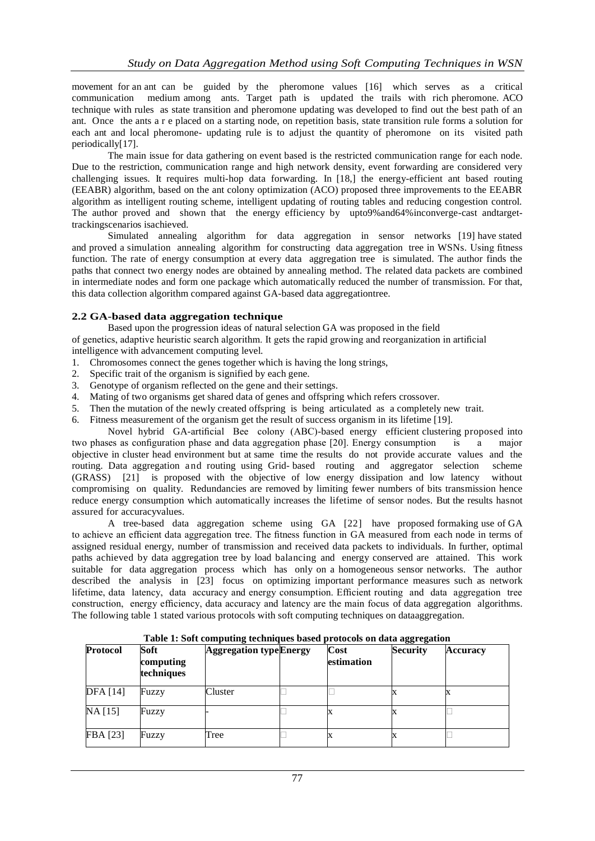movement for an ant can be guided by the pheromone values [16] which serves as a critical communication medium among ants. Target path is updated the trails with rich pheromone. ACO technique with rules as state transition and pheromone updating was developed to find out the best path of an ant. Once the ants a r e placed on a starting node, on repetition basis, state transition rule forms a solution for each ant and local pheromone- updating rule is to adjust the quantity of pheromone on its visited path periodically[17].

The main issue for data gathering on event based is the restricted communication range for each node. Due to the restriction, communication range and high network density, event forwarding are considered very challenging issues. It requires multi-hop data forwarding. In [18,] the energy-efficient ant based routing (EEABR) algorithm, based on the ant colony optimization (ACO) proposed three improvements to the EEABR algorithm as intelligent routing scheme, intelligent updating of routing tables and reducing congestion control. The author proved and shown that the energy efficiency by upto9%and64%inconverge-cast andtargettrackingscenarios isachieved.

Simulated annealing algorithm for data aggregation in sensor networks [19] have stated and proved a simulation annealing algorithm for constructing data aggregation tree in WSNs. Using fitness function. The rate of energy consumption at every data aggregation tree is simulated. The author finds the paths that connect two energy nodes are obtained by annealing method. The related data packets are combined in intermediate nodes and form one package which automatically reduced the number of transmission. For that, this data collection algorithm compared against GA-based data aggregationtree.

## **2.2 GA-based data aggregation technique**

Based upon the progression ideas of natural selection GA was proposed in the field of genetics, adaptive heuristic search algorithm. It gets the rapid growing and reorganization in artificial intelligence with advancement computing level.

- 1. Chromosomes connect the genes together which is having the long strings,
- 2. Specific trait of the organism is signified by each gene.
- 3. Genotype of organism reflected on the gene and their settings.
- 4. Mating of two organisms get shared data of genes and offspring which refers crossover.
- 5. Then the mutation of the newly created offspring is being articulated as a completely new trait.
- 6. Fitness measurement of the organism get the result of success organism in its lifetime [19].

Novel hybrid GA-artificial Bee colony (ABC)-based energy efficient clustering proposed into two phases as configuration phase and data aggregation phase [20]. Energy consumption is a major objective in cluster head environment but at same time the results do not provide accurate values and the routing. Data aggregation and routing using Grid- based routing and aggregator selection scheme (GRASS) [21] is proposed with the objective of low energy dissipation and low latency without compromising on quality. Redundancies are removed by limiting fewer numbers of bits transmission hence reduce energy consumption which automatically increases the lifetime of sensor nodes. But the results hasnot assured for accuracyvalues.

A tree-based data aggregation scheme using GA [22] have proposed formaking use of GA to achieve an efficient data aggregation tree. The fitness function in GA measured from each node in terms of assigned residual energy, number of transmission and received data packets to individuals. In further, optimal paths achieved by data aggregation tree by load balancing and energy conserved are attained. This work suitable for data aggregation process which has only on a homogeneous sensor networks. The author described the analysis in [23] focus on optimizing important performance measures such as network lifetime, data latency, data accuracy and energy consumption. Efficient routing and data aggregation tree construction, energy efficiency, data accuracy and latency are the main focus of data aggregation algorithms. The following table 1 stated various protocols with soft computing techniques on dataaggregation.

| Protocol        | Soft<br>computing<br>techniques | <b>Aggregation type Energy</b> | Cost<br>estimation | <b>Security</b> | <b>Accuracy</b> |
|-----------------|---------------------------------|--------------------------------|--------------------|-----------------|-----------------|
| <b>DFA</b> [14] | Fuzzy                           | Cluster                        |                    |                 |                 |
| $NA$ [15]       | Fuzzy                           |                                |                    |                 |                 |
| FBA [23]        | Fuzzy                           | Tree                           |                    |                 |                 |

**Table 1: Soft computing techniques based protocols on data aggregation**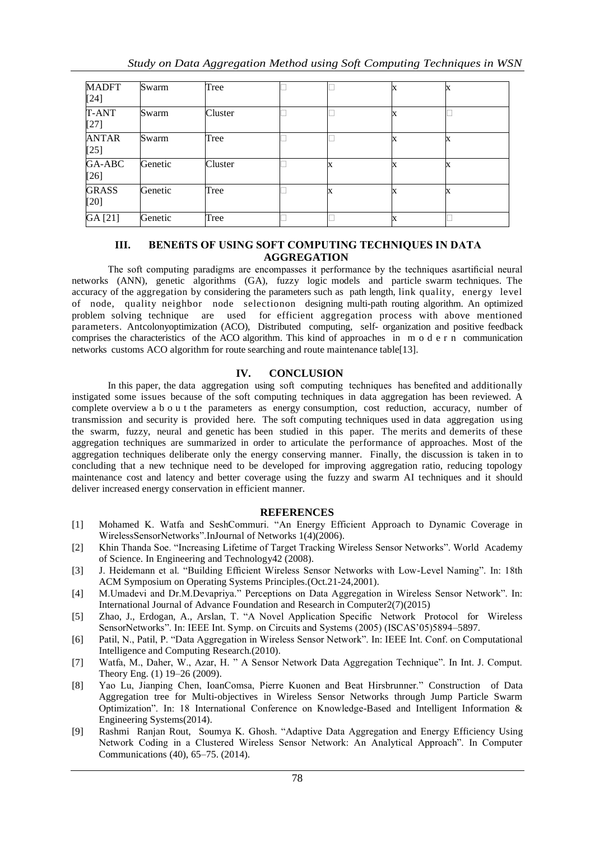| <b>MADFT</b>           | Swarm   | Tree    |  |  |  |
|------------------------|---------|---------|--|--|--|
| $[24]$                 |         |         |  |  |  |
| T-ANT<br>$[27]$        | Swarm   | Cluster |  |  |  |
| <b>ANTAR</b><br>$[25]$ | Swarm   | Tree    |  |  |  |
| GA-ABC<br>$[26]$       | Genetic | Cluster |  |  |  |
| <b>GRASS</b><br>$[20]$ | Genetic | Tree    |  |  |  |
| GA [21]                | Genetic | Tree    |  |  |  |

## **III. BENEfiTS OF USING SOFT COMPUTING TECHNIQUES IN DATA AGGREGATION**

The soft computing paradigms are encompasses it performance by the techniques asartificial neural networks (ANN), genetic algorithms (GA), fuzzy logic models and particle swarm techniques. The accuracy of the aggregation by considering the parameters such as path length, link quality, energy level of node, quality neighbor node selectionon designing multi-path routing algorithm. An optimized problem solving technique are used for efficient aggregation process with above mentioned parameters. Antcolonyoptimization (ACO), Distributed computing, self- organization and positive feedback comprises the characteristics of the ACO algorithm. This kind of approaches in m o d e r n communication networks customs ACO algorithm for route searching and route maintenance table[13].

## **IV. CONCLUSION**

In this paper, the data aggregation using soft computing techniques has benefited and additionally instigated some issues because of the soft computing techniques in data aggregation has been reviewed. A complete overview a b o u t the parameters as energy consumption, cost reduction, accuracy, number of transmission and security is provided here. The soft computing techniques used in data aggregation using the swarm, fuzzy, neural and genetic has been studied in this paper. The merits and demerits of these aggregation techniques are summarized in order to articulate the performance of approaches. Most of the aggregation techniques deliberate only the energy conserving manner. Finally, the discussion is taken in to concluding that a new technique need to be developed for improving aggregation ratio, reducing topology maintenance cost and latency and better coverage using the fuzzy and swarm AI techniques and it should deliver increased energy conservation in efficient manner.

#### **REFERENCES**

- [1] Mohamed K. Watfa and SeshCommuri. "An Energy Efficient Approach to Dynamic Coverage in WirelessSensorNetworks".InJournal of Networks 1(4)(2006).
- [2] Khin Thanda Soe. "Increasing Lifetime of Target Tracking Wireless Sensor Networks". World Academy of Science. In Engineering and Technology42 (2008).
- [3] J. Heidemann et al. "Building Efficient Wireless Sensor Networks with Low-Level Naming". In: 18th ACM Symposium on Operating Systems Principles.(Oct.21-24,2001).
- [4] M.Umadevi and Dr.M.Devapriya." Perceptions on Data Aggregation in Wireless Sensor Network". In: International Journal of Advance Foundation and Research in Computer2(7)(2015)
- [5] Zhao, J., Erdogan, A., Arslan, T. "A Novel Application Specific Network Protocol for Wireless SensorNetworks". In: IEEE Int. Symp. on Circuits and Systems (2005) (ISCAS'05)5894–5897.
- [6] Patil, N., Patil, P. "Data Aggregation in Wireless Sensor Network". In: IEEE Int. Conf. on Computational Intelligence and Computing Research.(2010).
- [7] Watfa, M., Daher, W., Azar, H. " A Sensor Network Data Aggregation Technique". In Int. J. Comput. Theory Eng. (1) 19–26 (2009).
- [8] Yao Lu, Jianping Chen, IoanComsa, Pierre Kuonen and Beat Hirsbrunner." Construction of Data Aggregation tree for Multi-objectives in Wireless Sensor Networks through Jump Particle Swarm Optimization". In: 18 International Conference on Knowledge-Based and Intelligent Information & Engineering Systems(2014).
- [9] Rashmi Ranjan Rout, Soumya K. Ghosh. "Adaptive Data Aggregation and Energy Efficiency Using Network Coding in a Clustered Wireless Sensor Network: An Analytical Approach". In Computer Communications (40), 65–75. (2014).